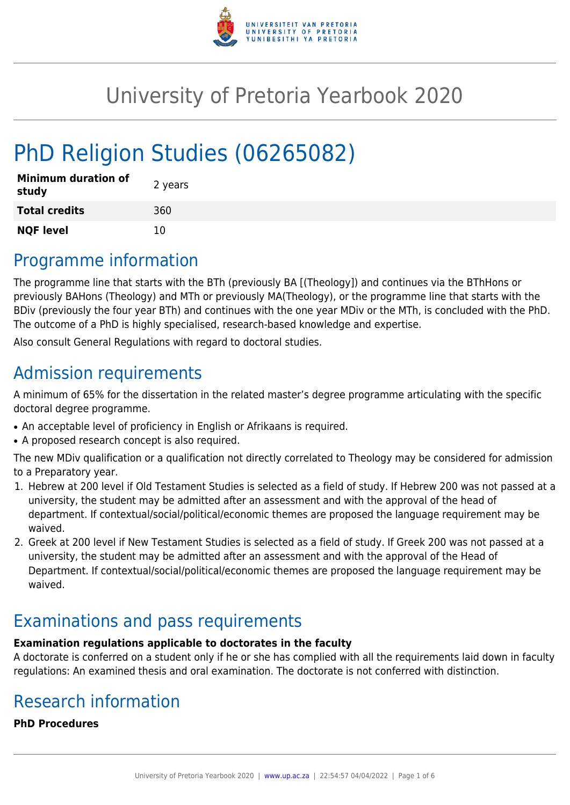

## University of Pretoria Yearbook 2020

# PhD Religion Studies (06265082)

| <b>Minimum duration of</b><br>study | 2 years |
|-------------------------------------|---------|
| <b>Total credits</b>                | 360     |
| <b>NQF level</b>                    | 10      |

## Programme information

The programme line that starts with the BTh (previously BA [(Theology]) and continues via the BThHons or previously BAHons (Theology) and MTh or previously MA(Theology), or the programme line that starts with the BDiv (previously the four year BTh) and continues with the one year MDiv or the MTh, is concluded with the PhD. The outcome of a PhD is highly specialised, research-based knowledge and expertise.

Also consult General Regulations with regard to doctoral studies.

## Admission requirements

A minimum of 65% for the dissertation in the related master's degree programme articulating with the specific doctoral degree programme.

- An acceptable level of proficiency in English or Afrikaans is required.
- A proposed research concept is also required.

The new MDiv qualification or a qualification not directly correlated to Theology may be considered for admission to a Preparatory year.

- 1. Hebrew at 200 level if Old Testament Studies is selected as a field of study. If Hebrew 200 was not passed at a university, the student may be admitted after an assessment and with the approval of the head of department. If contextual/social/political/economic themes are proposed the language requirement may be waived.
- 2. Greek at 200 level if New Testament Studies is selected as a field of study. If Greek 200 was not passed at a university, the student may be admitted after an assessment and with the approval of the Head of Department. If contextual/social/political/economic themes are proposed the language requirement may be waived.

## Examinations and pass requirements

#### **Examination regulations applicable to doctorates in the faculty**

A doctorate is conferred on a student only if he or she has complied with all the requirements laid down in faculty regulations: An examined thesis and oral examination. The doctorate is not conferred with distinction.

## Research information

**PhD Procedures**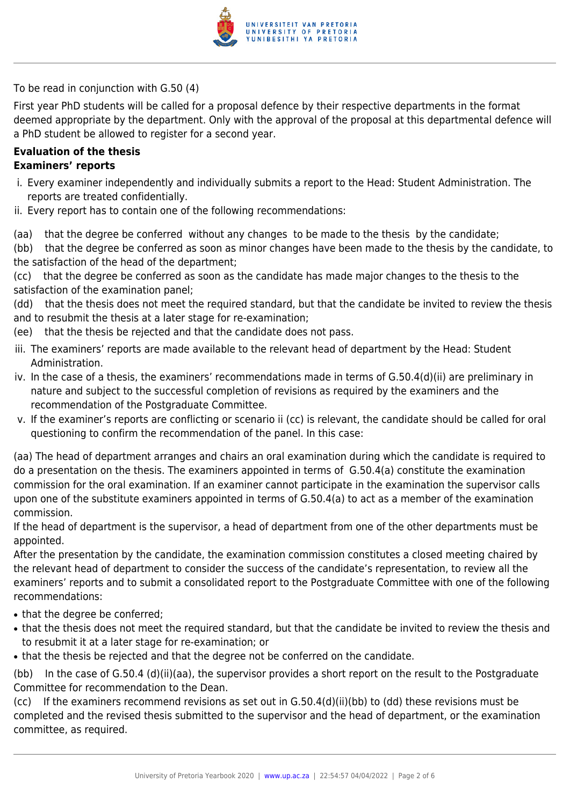

To be read in conjunction with G.50 (4)

First year PhD students will be called for a proposal defence by their respective departments in the format deemed appropriate by the department. Only with the approval of the proposal at this departmental defence will a PhD student be allowed to register for a second year.

#### **Evaluation of the thesis Examiners' reports**

- i. Every examiner independently and individually submits a report to the Head: Student Administration. The reports are treated confidentially.
- ii. Every report has to contain one of the following recommendations:
- (aa) that the degree be conferred without any changes to be made to the thesis by the candidate;
- (bb) that the degree be conferred as soon as minor changes have been made to the thesis by the candidate, to the satisfaction of the head of the department;
- (cc) that the degree be conferred as soon as the candidate has made major changes to the thesis to the satisfaction of the examination panel;
- (dd) that the thesis does not meet the required standard, but that the candidate be invited to review the thesis and to resubmit the thesis at a later stage for re-examination;
- (ee) that the thesis be rejected and that the candidate does not pass.
- iii. The examiners' reports are made available to the relevant head of department by the Head: Student Administration.
- iv. In the case of a thesis, the examiners' recommendations made in terms of G.50.4(d)(ii) are preliminary in nature and subject to the successful completion of revisions as required by the examiners and the recommendation of the Postgraduate Committee.
- v. If the examiner's reports are conflicting or scenario ii (cc) is relevant, the candidate should be called for oral questioning to confirm the recommendation of the panel. In this case:
- (aa) The head of department arranges and chairs an oral examination during which the candidate is required to do a presentation on the thesis. The examiners appointed in terms of G.50.4(a) constitute the examination commission for the oral examination. If an examiner cannot participate in the examination the supervisor calls upon one of the substitute examiners appointed in terms of G.50.4(a) to act as a member of the examination commission.
- If the head of department is the supervisor, a head of department from one of the other departments must be appointed.
- After the presentation by the candidate, the examination commission constitutes a closed meeting chaired by the relevant head of department to consider the success of the candidate's representation, to review all the examiners' reports and to submit a consolidated report to the Postgraduate Committee with one of the following recommendations:
- that the degree be conferred:
- that the thesis does not meet the required standard, but that the candidate be invited to review the thesis and to resubmit it at a later stage for re-examination; or
- that the thesis be rejected and that the degree not be conferred on the candidate.

(bb) In the case of G.50.4 (d)(ii)(aa), the supervisor provides a short report on the result to the Postgraduate Committee for recommendation to the Dean.

(cc) If the examiners recommend revisions as set out in G.50.4(d)(ii)(bb) to (dd) these revisions must be completed and the revised thesis submitted to the supervisor and the head of department, or the examination committee, as required.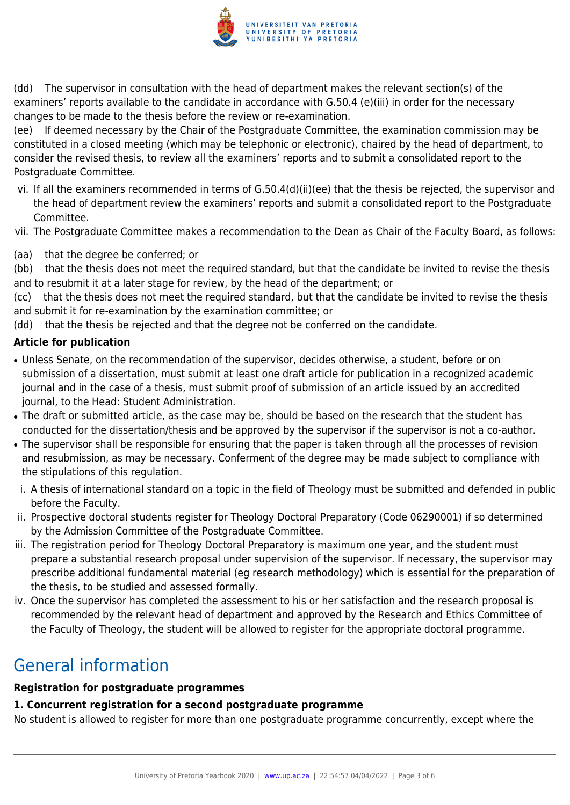

(dd) The supervisor in consultation with the head of department makes the relevant section(s) of the examiners' reports available to the candidate in accordance with G.50.4 (e)(iii) in order for the necessary changes to be made to the thesis before the review or re-examination.

(ee) If deemed necessary by the Chair of the Postgraduate Committee, the examination commission may be constituted in a closed meeting (which may be telephonic or electronic), chaired by the head of department, to consider the revised thesis, to review all the examiners' reports and to submit a consolidated report to the Postgraduate Committee.

- vi. If all the examiners recommended in terms of G.50.4(d)(ii)(ee) that the thesis be rejected, the supervisor and the head of department review the examiners' reports and submit a consolidated report to the Postgraduate Committee.
- vii. The Postgraduate Committee makes a recommendation to the Dean as Chair of the Faculty Board, as follows:
- (aa) that the degree be conferred; or

(bb) that the thesis does not meet the required standard, but that the candidate be invited to revise the thesis and to resubmit it at a later stage for review, by the head of the department; or

(cc) that the thesis does not meet the required standard, but that the candidate be invited to revise the thesis and submit it for re-examination by the examination committee; or

(dd) that the thesis be rejected and that the degree not be conferred on the candidate.

#### **Article for publication**

- Unless Senate, on the recommendation of the supervisor, decides otherwise, a student, before or on submission of a dissertation, must submit at least one draft article for publication in a recognized academic journal and in the case of a thesis, must submit proof of submission of an article issued by an accredited journal, to the Head: Student Administration.
- The draft or submitted article, as the case may be, should be based on the research that the student has conducted for the dissertation/thesis and be approved by the supervisor if the supervisor is not a co-author.
- The supervisor shall be responsible for ensuring that the paper is taken through all the processes of revision and resubmission, as may be necessary. Conferment of the degree may be made subject to compliance with the stipulations of this regulation.
- i. A thesis of international standard on a topic in the field of Theology must be submitted and defended in public before the Faculty.
- ii. Prospective doctoral students register for Theology Doctoral Preparatory (Code 06290001) if so determined by the Admission Committee of the Postgraduate Committee.
- iii. The registration period for Theology Doctoral Preparatory is maximum one year, and the student must prepare a substantial research proposal under supervision of the supervisor. If necessary, the supervisor may prescribe additional fundamental material (eg research methodology) which is essential for the preparation of the thesis, to be studied and assessed formally.
- iv. Once the supervisor has completed the assessment to his or her satisfaction and the research proposal is recommended by the relevant head of department and approved by the Research and Ethics Committee of the Faculty of Theology, the student will be allowed to register for the appropriate doctoral programme.

## General information

#### **Registration for postgraduate programmes**

#### **1. Concurrent registration for a second postgraduate programme**

No student is allowed to register for more than one postgraduate programme concurrently, except where the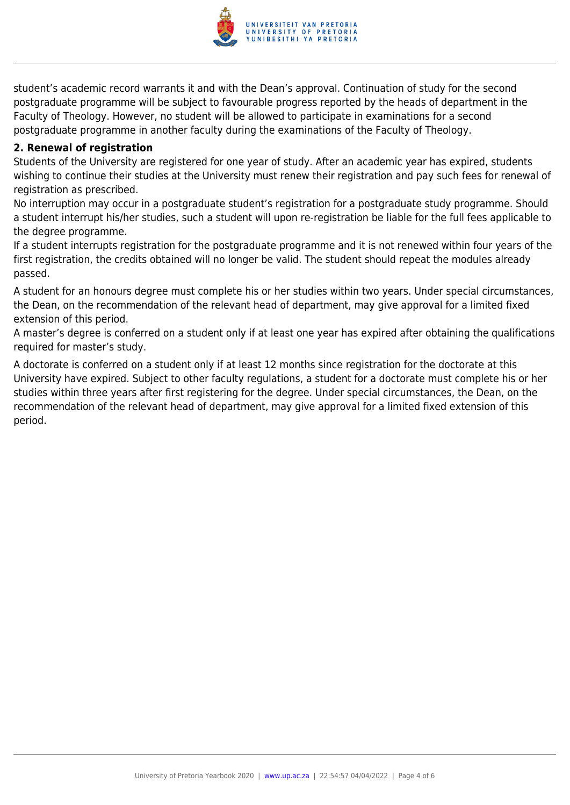

student's academic record warrants it and with the Dean's approval. Continuation of study for the second postgraduate programme will be subject to favourable progress reported by the heads of department in the Faculty of Theology. However, no student will be allowed to participate in examinations for a second postgraduate programme in another faculty during the examinations of the Faculty of Theology.

#### **2. Renewal of registration**

Students of the University are registered for one year of study. After an academic year has expired, students wishing to continue their studies at the University must renew their registration and pay such fees for renewal of registration as prescribed.

No interruption may occur in a postgraduate student's registration for a postgraduate study programme. Should a student interrupt his/her studies, such a student will upon re-registration be liable for the full fees applicable to the degree programme.

If a student interrupts registration for the postgraduate programme and it is not renewed within four years of the first registration, the credits obtained will no longer be valid. The student should repeat the modules already passed.

A student for an honours degree must complete his or her studies within two years. Under special circumstances, the Dean, on the recommendation of the relevant head of department, may give approval for a limited fixed extension of this period.

A master's degree is conferred on a student only if at least one year has expired after obtaining the qualifications required for master's study.

A doctorate is conferred on a student only if at least 12 months since registration for the doctorate at this University have expired. Subject to other faculty regulations, a student for a doctorate must complete his or her studies within three years after first registering for the degree. Under special circumstances, the Dean, on the recommendation of the relevant head of department, may give approval for a limited fixed extension of this period.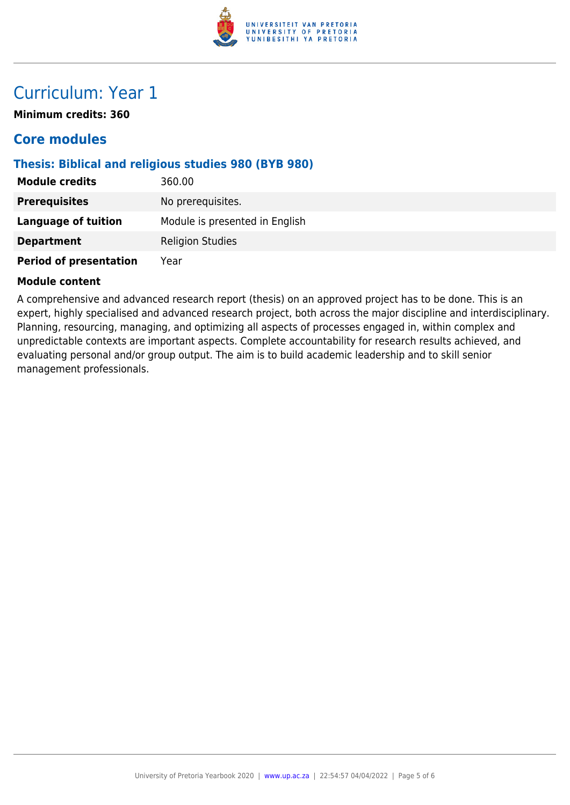

### Curriculum: Year 1

**Minimum credits: 360**

#### **Core modules**

#### **Thesis: Biblical and religious studies 980 (BYB 980)**

| <b>Module credits</b>         | 360.00                         |
|-------------------------------|--------------------------------|
| <b>Prerequisites</b>          | No prerequisites.              |
| <b>Language of tuition</b>    | Module is presented in English |
| <b>Department</b>             | <b>Religion Studies</b>        |
| <b>Period of presentation</b> | Year                           |

#### **Module content**

A comprehensive and advanced research report (thesis) on an approved project has to be done. This is an expert, highly specialised and advanced research project, both across the major discipline and interdisciplinary. Planning, resourcing, managing, and optimizing all aspects of processes engaged in, within complex and unpredictable contexts are important aspects. Complete accountability for research results achieved, and evaluating personal and/or group output. The aim is to build academic leadership and to skill senior management professionals.